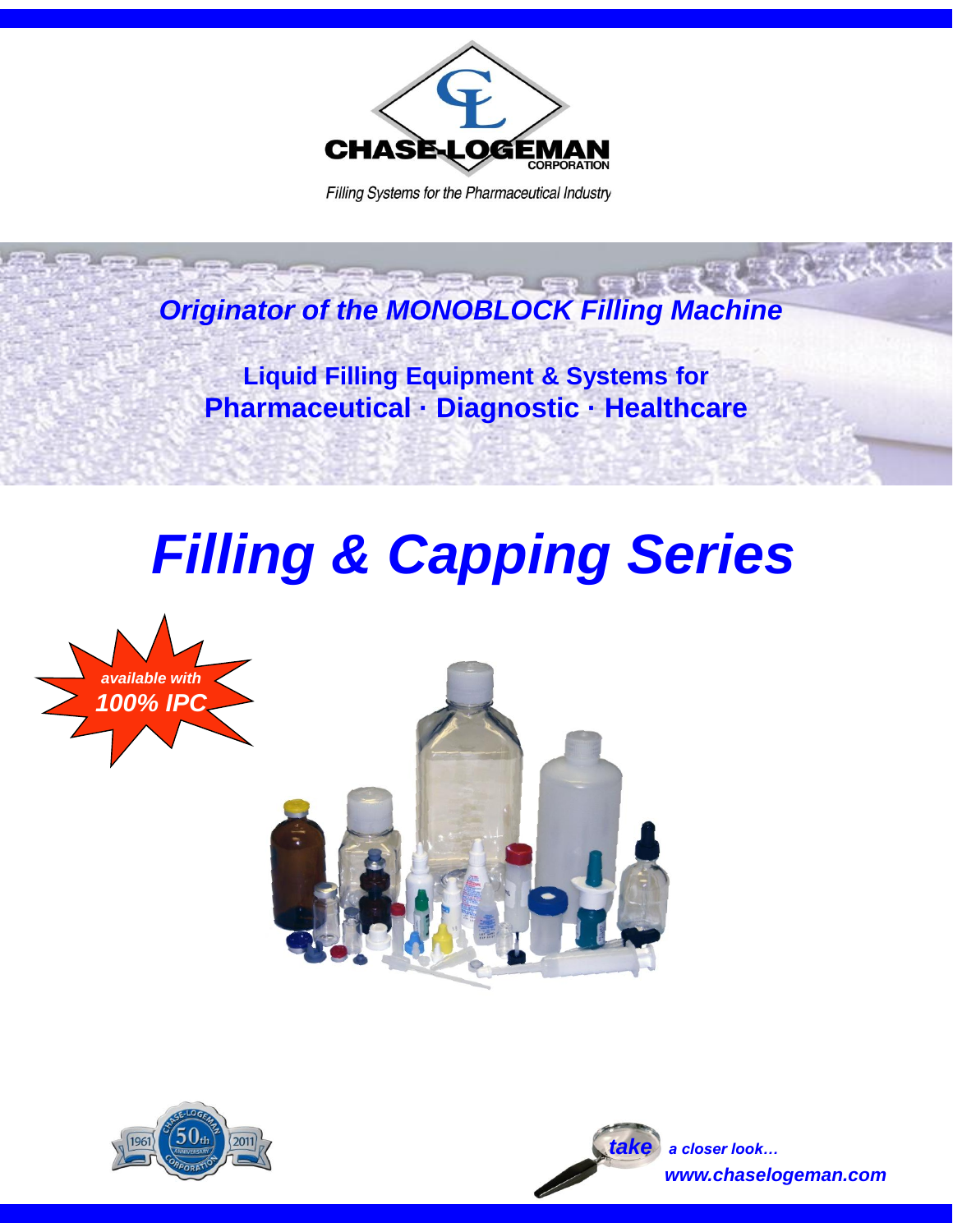

Filling Systems for the Pharmaceutical Industry

*Originator of the MONOBLOCK Filling Machine*

**Liquid Filling Equipment & Systems for Pharmaceutical · Diagnostic · Healthcare**

# *Filling & Capping Series*







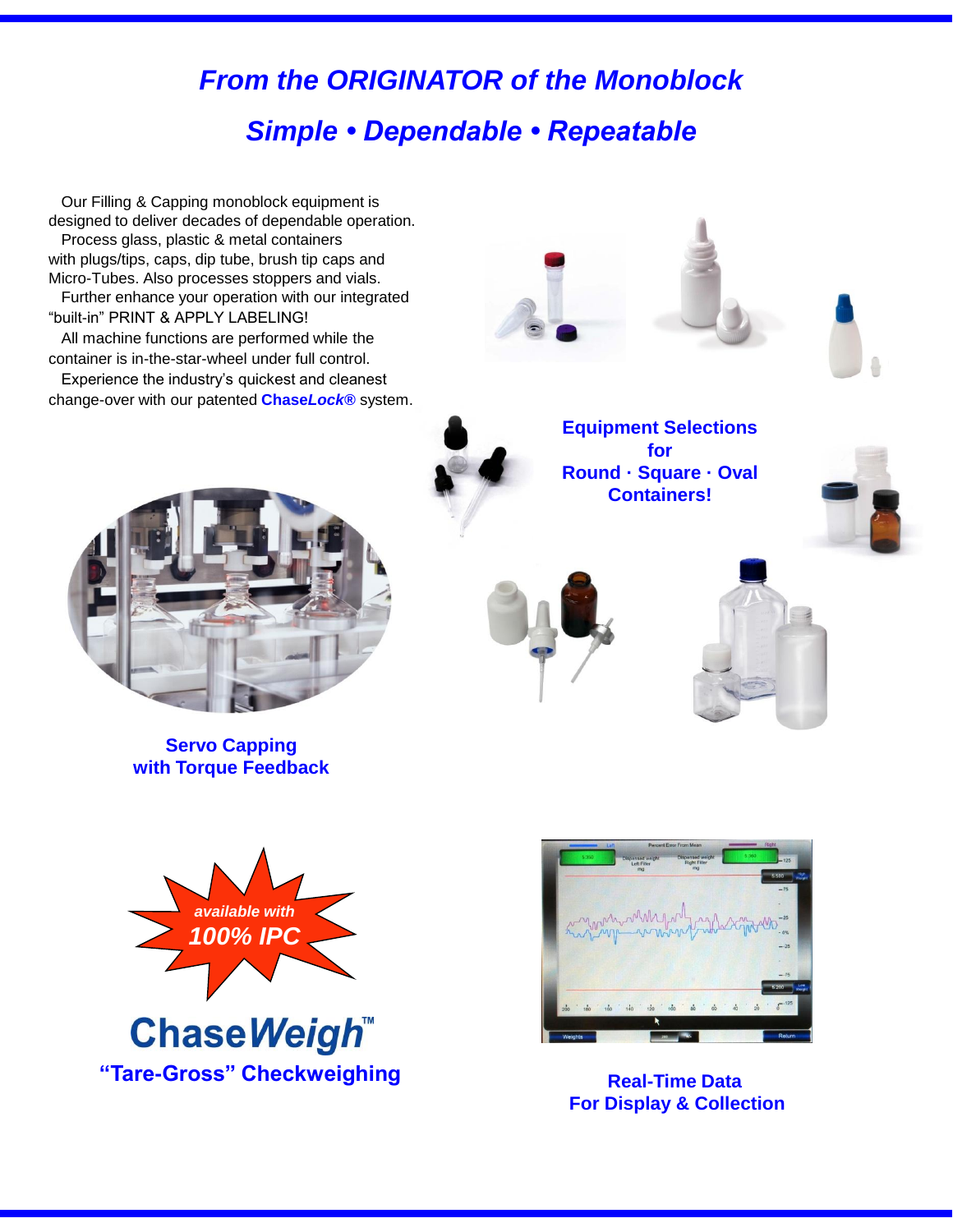# *From the ORIGINATOR of the Monoblock Simple • Dependable • Repeatable*

 Our Filling & Capping monoblock equipment is designed to deliver decades of dependable operation. Process glass, plastic & metal containers with plugs/tips, caps, dip tube, brush tip caps and Micro-Tubes. Also processes stoppers and vials. Further enhance your operation with our integrated "built-in" PRINT & APPLY LABELING!

 All machine functions are performed while the container is in-the-star-wheel under full control.

 Experience the industry's quickest and cleanest change-over with our patented **Chase***Lock®* system.



**Servo Capping with Torque Feedback**







**Equipment Selections for Round · Square · Oval Containers!**









**For Display & Collection**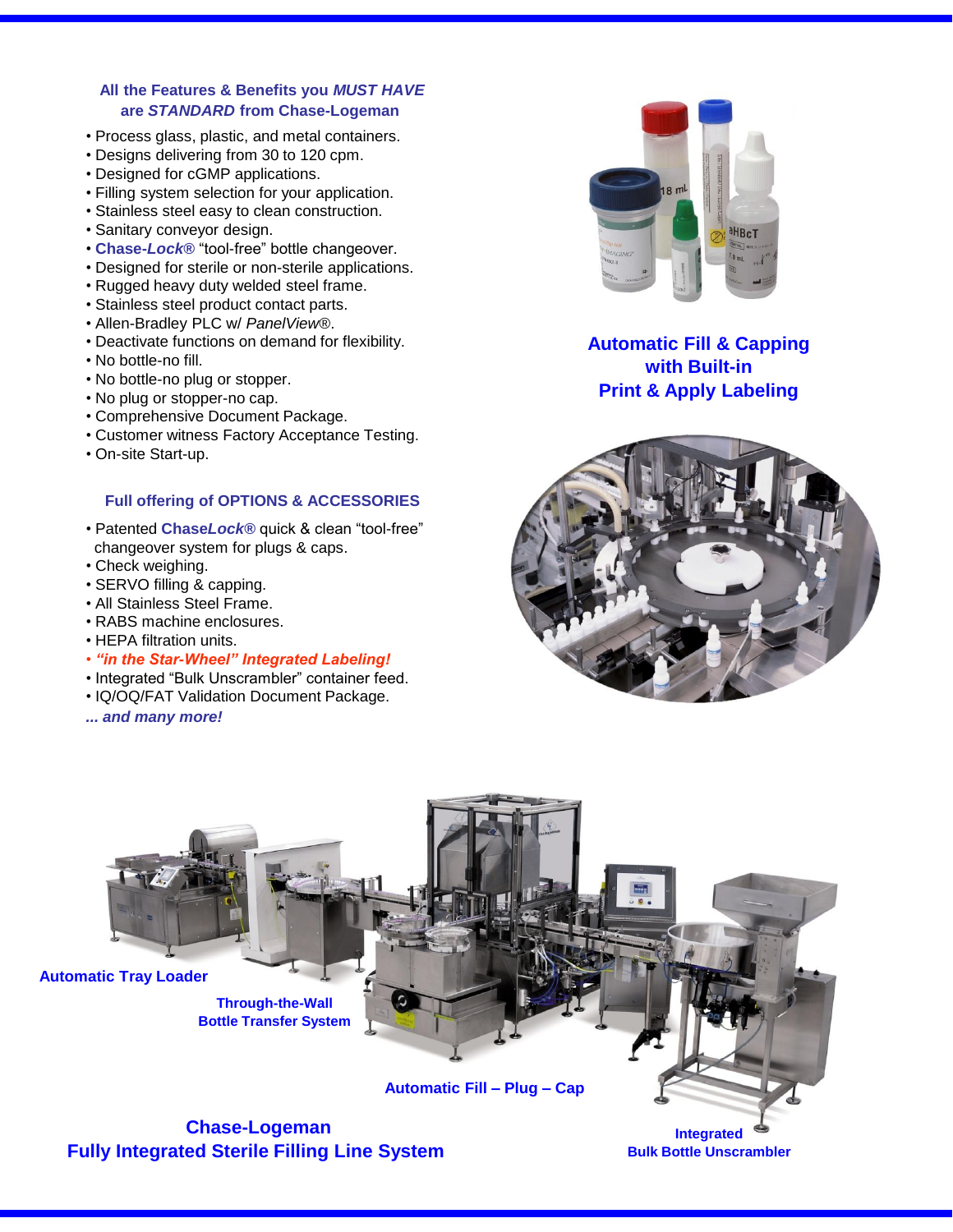#### **All the Features & Benefits you** *MUST HAVE* **are** *STANDARD* **from Chase-Logeman**

- Process glass, plastic, and metal containers.
- Designs delivering from 30 to 120 cpm.
- Designed for cGMP applications.
- Filling system selection for your application.
- Stainless steel easy to clean construction.
- Sanitary conveyor design.
- **Chase-***Lock®* "tool-free" bottle changeover.
- Designed for sterile or non-sterile applications.
- Rugged heavy duty welded steel frame.
- Stainless steel product contact parts.
- Allen-Bradley PLC w/ *PanelView®*.
- Deactivate functions on demand for flexibility.
- No bottle-no fill.
- No bottle-no plug or stopper.
- No plug or stopper-no cap.
- Comprehensive Document Package.
- Customer witness Factory Acceptance Testing.
- On-site Start-up.

#### **Full offering of OPTIONS & ACCESSORIES**

- Patented **Chase***Lock®* quick & clean "tool-free" changeover system for plugs & caps.
- Check weighing.
- SERVO filling & capping.
- All Stainless Steel Frame.
- RABS machine enclosures.
- HEPA filtration units.
- *"in the Star-Wheel" Integrated Labeling!*
- Integrated "Bulk Unscrambler" container feed.
- IQ/OQ/FAT Validation Document Package.
- *... and many more!*



### **Automatic Fill & Capping with Built-in Print & Apply Labeling**





**Bulk Bottle Unscrambler**